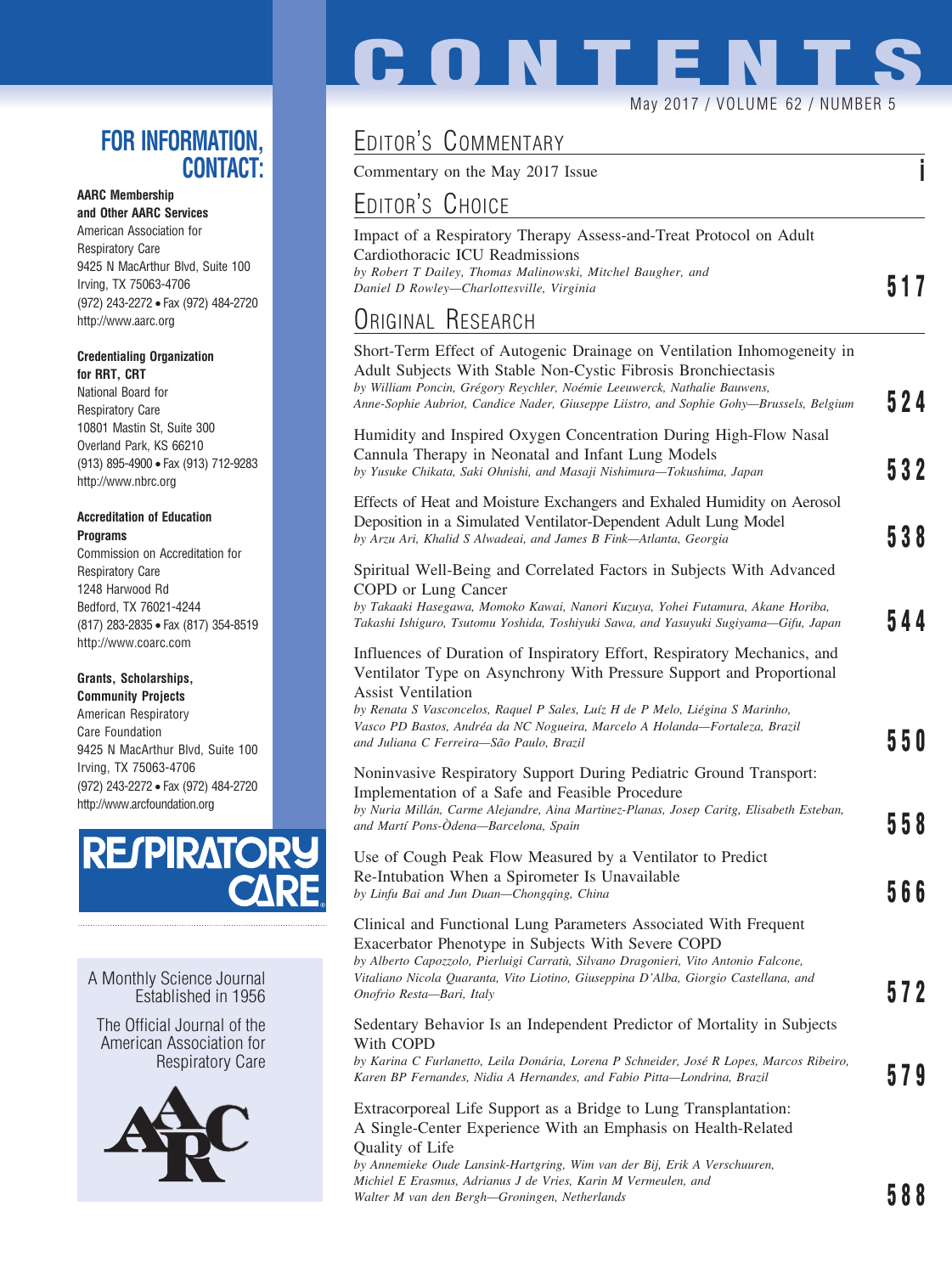## **FOR INFORMATION, CONTACT:**

### **AARC Membership**

**and Other AARC Services** American Association for Respiratory Care 9425 N MacArthur Blvd, Suite 100 Irving, TX 75063-4706 (972) 243-2272 • Fax (972) 484-2720 http://www.aarc.org

#### **Credentialing Organization for RRT, CRT**

National Board for Respiratory Care 10801 Mastin St, Suite 300 Overland Park, KS 66210 (913) 895-4900 • Fax (913) 712-9283 http://www.nbrc.org

#### **Accreditation of Education Programs**

Commission on Accreditation for Respiratory Care 1248 Harwood Rd Bedford, TX 76021-4244 (817) 283-2835 • Fax (817) 354-8519 http://www.coarc.com

### **Grants, Scholarships,**

**Community Projects** American Respiratory Care Foundation 9425 N MacArthur Blvd, Suite 100 Irving, TX 75063-4706 (972) 243-2272 • Fax (972) 484-2720 http://www.arcfoundation.org



A Monthly Science Journal Established in 1956

The Official Journal of the American Association for Respiratory Care



# **CONTENT** May 2017 / VOLUME 62 / NUMBER 5

# EDITOR'S COMMENTARY

Commentary on the May 2017 Issue **i**

## EDITOR'S CHOICE

| Impact of a Respiratory Therapy Assess-and-Treat Protocol on Adult |     |
|--------------------------------------------------------------------|-----|
| Cardiothoracic ICU Readmissions                                    |     |
| by Robert T Dailey, Thomas Malinowski, Mitchel Baugher, and        |     |
| Daniel D Rowley—Charlottesville, Virginia                          | 517 |

## ORIGINAL RESEARCH

| OUTSTAND THEOLITION                                                                                                                                                                                                                                                                                                                                                                       |     |
|-------------------------------------------------------------------------------------------------------------------------------------------------------------------------------------------------------------------------------------------------------------------------------------------------------------------------------------------------------------------------------------------|-----|
| Short-Term Effect of Autogenic Drainage on Ventilation Inhomogeneity in<br>Adult Subjects With Stable Non-Cystic Fibrosis Bronchiectasis<br>by William Poncin, Grégory Reychler, Noémie Leeuwerck, Nathalie Bauwens,<br>Anne-Sophie Aubriot, Candice Nader, Giuseppe Liistro, and Sophie Gohy-Brussels, Belgium                                                                           | 524 |
| Humidity and Inspired Oxygen Concentration During High-Flow Nasal<br>Cannula Therapy in Neonatal and Infant Lung Models<br>by Yusuke Chikata, Saki Ohnishi, and Masaji Nishimura-Tokushima, Japan                                                                                                                                                                                         | 532 |
| Effects of Heat and Moisture Exchangers and Exhaled Humidity on Aerosol<br>Deposition in a Simulated Ventilator-Dependent Adult Lung Model<br>by Arzu Ari, Khalid S Alwadeai, and James B Fink-Atlanta, Georgia                                                                                                                                                                           | 538 |
| Spiritual Well-Being and Correlated Factors in Subjects With Advanced<br>COPD or Lung Cancer<br>by Takaaki Hasegawa, Momoko Kawai, Nanori Kuzuya, Yohei Futamura, Akane Horiba,<br>Takashi Ishiguro, Tsutomu Yoshida, Toshiyuki Sawa, and Yasuyuki Sugiyama-Gifu, Japan                                                                                                                   | 544 |
| Influences of Duration of Inspiratory Effort, Respiratory Mechanics, and<br>Ventilator Type on Asynchrony With Pressure Support and Proportional<br><b>Assist Ventilation</b><br>by Renata S Vasconcelos, Raquel P Sales, Luíz H de P Melo, Liégina S Marinho,<br>Vasco PD Bastos, Andréa da NC Nogueira, Marcelo A Holanda-Fortaleza, Brazil<br>and Juliana C Ferreira-São Paulo, Brazil | 550 |
| Noninvasive Respiratory Support During Pediatric Ground Transport:<br>Implementation of a Safe and Feasible Procedure<br>by Nuria Millán, Carme Alejandre, Aina Martinez-Planas, Josep Caritg, Elisabeth Esteban,<br>and Martí Pons-Ódena-Barcelona, Spain                                                                                                                                | 558 |
| Use of Cough Peak Flow Measured by a Ventilator to Predict<br>Re-Intubation When a Spirometer Is Unavailable<br>by Linfu Bai and Jun Duan-Chongqing, China                                                                                                                                                                                                                                | 566 |
| Clinical and Functional Lung Parameters Associated With Frequent<br>Exacerbator Phenotype in Subjects With Severe COPD<br>by Alberto Capozzolo, Pierluigi Carratù, Silvano Dragonieri, Vito Antonio Falcone,<br>Vitaliano Nicola Quaranta, Vito Liotino, Giuseppina D'Alba, Giorgio Castellana, and<br>Onofrio Resta-Bari, Italy                                                          | 572 |
| Sedentary Behavior Is an Independent Predictor of Mortality in Subjects<br>With COPD<br>by Karina C Furlanetto, Leila Donária, Lorena P Schneider, José R Lopes, Marcos Ribeiro,<br>Karen BP Fernandes, Nidia A Hernandes, and Fabio Pitta-Londrina, Brazil                                                                                                                               | 579 |
| Extracorporeal Life Support as a Bridge to Lung Transplantation:<br>A Single-Center Experience With an Emphasis on Health-Related<br>Quality of Life                                                                                                                                                                                                                                      |     |

*by Annemieke Oude Lansink-Hartgring, Wim van der Bij, Erik A Verschuuren, Michiel E Erasmus, Adrianus J de Vries, Karin M Vermeulen, and Walter M van den Bergh—Groningen, Netherlands* **588**